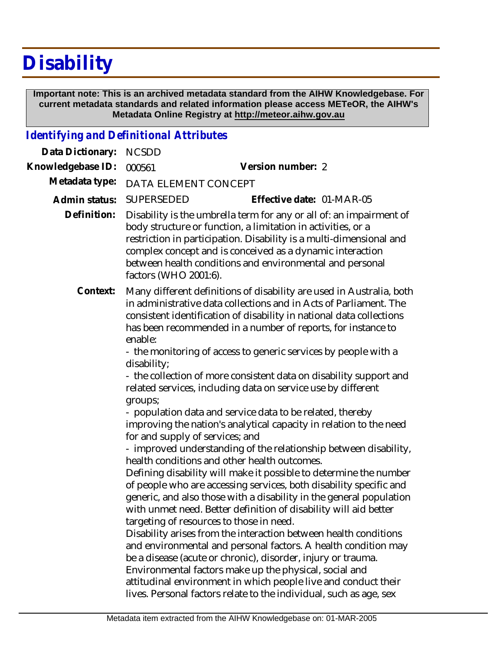## **Disability**

 **Important note: This is an archived metadata standard from the AIHW Knowledgebase. For current metadata standards and related information please access METeOR, the AIHW's Metadata Online Registry at http://meteor.aihw.gov.au**

## *Identifying and Definitional Attributes*

| Data Dictionary:  | <b>NCSDD</b>                                                                                                                                                                                                                                                                                                                                                                                         |
|-------------------|------------------------------------------------------------------------------------------------------------------------------------------------------------------------------------------------------------------------------------------------------------------------------------------------------------------------------------------------------------------------------------------------------|
| Knowledgebase ID: | Version number: 2<br>000561                                                                                                                                                                                                                                                                                                                                                                          |
| Metadata type:    | DATA ELEMENT CONCEPT                                                                                                                                                                                                                                                                                                                                                                                 |
| Admin status:     | SUPERSEDED<br>Effective date: 01-MAR-05                                                                                                                                                                                                                                                                                                                                                              |
| Definition:       | Disability is the umbrella term for any or all of: an impairment of<br>body structure or function, a limitation in activities, or a<br>restriction in participation. Disability is a multi-dimensional and<br>complex concept and is conceived as a dynamic interaction<br>between health conditions and environmental and personal<br>factors (WHO 2001:6).                                         |
| Context:          | Many different definitions of disability are used in Australia, both<br>in administrative data collections and in Acts of Parliament. The<br>consistent identification of disability in national data collections<br>has been recommended in a number of reports, for instance to<br>enable:<br>- the monitoring of access to generic services by people with a<br>disability;                       |
|                   | - the collection of more consistent data on disability support and<br>related services, including data on service use by different<br>groups;                                                                                                                                                                                                                                                        |
|                   | - population data and service data to be related, thereby<br>improving the nation's analytical capacity in relation to the need<br>for and supply of services; and                                                                                                                                                                                                                                   |
|                   | - improved understanding of the relationship between disability,<br>health conditions and other health outcomes.                                                                                                                                                                                                                                                                                     |
|                   | Defining disability will make it possible to determine the number<br>of people who are accessing services, both disability specific and<br>generic, and also those with a disability in the general population<br>with unmet need. Better definition of disability will aid better<br>targeting of resources to those in need.                                                                       |
|                   | Disability arises from the interaction between health conditions<br>and environmental and personal factors. A health condition may<br>be a disease (acute or chronic), disorder, injury or trauma.<br>Environmental factors make up the physical, social and<br>attitudinal environment in which people live and conduct their<br>lives. Personal factors relate to the individual, such as age, sex |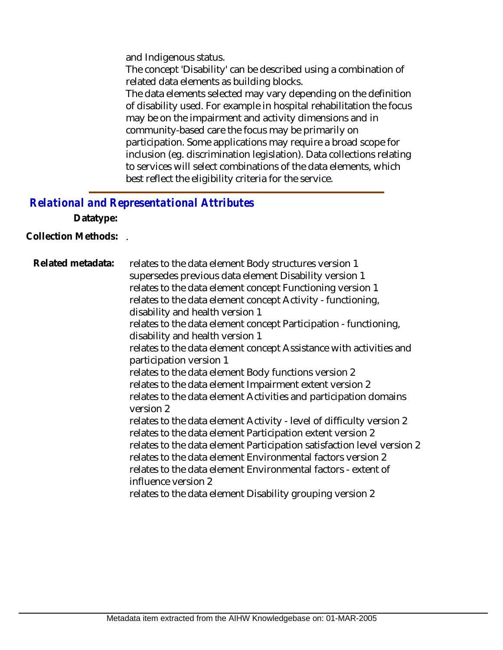and Indigenous status.

The concept 'Disability' can be described using a combination of related data elements as building blocks.

The data elements selected may vary depending on the definition of disability used. For example in hospital rehabilitation the focus may be on the impairment and activity dimensions and in community-based care the focus may be primarily on participation. Some applications may require a broad scope for inclusion (eg. discrimination legislation). Data collections relating to services will select combinations of the data elements, which best reflect the eligibility criteria for the service.

## *Relational and Representational Attributes*

**Datatype:**

**Collection Methods:** .

relates to the data element Body structures version 1 supersedes previous data element Disability version 1 relates to the data element concept Functioning version 1 relates to the data element concept Activity - functioning, disability and health version 1 relates to the data element concept Participation - functioning, disability and health version 1 relates to the data element concept Assistance with activities and participation version 1 relates to the data element Body functions version 2 relates to the data element Impairment extent version 2 relates to the data element Activities and participation domains version 2 relates to the data element Activity - level of difficulty version 2 relates to the data element Participation extent version 2 relates to the data element Participation satisfaction level version 2 relates to the data element Environmental factors version 2 relates to the data element Environmental factors - extent of influence version 2 relates to the data element Disability grouping version 2 **Related metadata:**